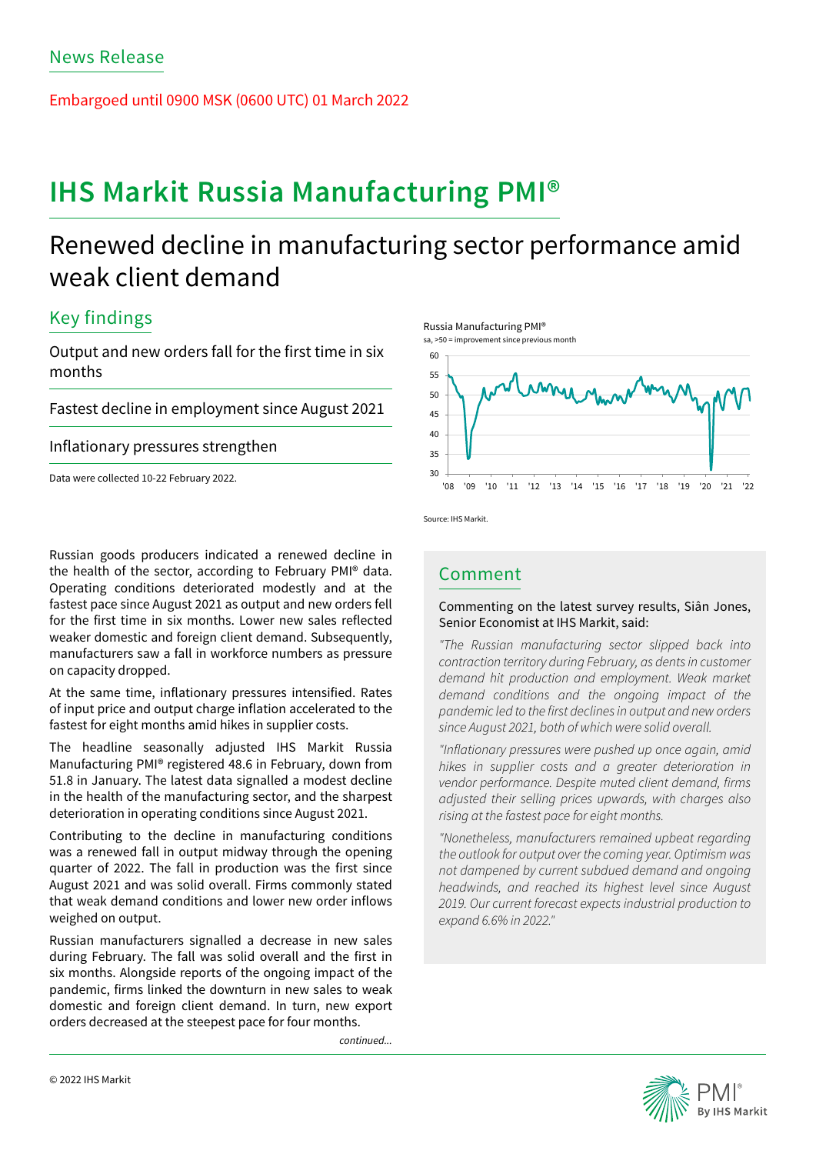Embargoed until 0900 MSK (0600 UTC) 01 March 2022

# **IHS Markit Russia Manufacturing PMI®**

# Renewed decline in manufacturing sector performance amid weak client demand

## Key findings

Output and new orders fall for the first time in six months

Fastest decline in employment since August 2021

## Inflationary pressures strengthen

Data were collected 10-22 February 2022.

Russian goods producers indicated a renewed decline in the health of the sector, according to February PMI® data. Operating conditions deteriorated modestly and at the fastest pace since August 2021 as output and new orders fell for the first time in six months. Lower new sales reflected weaker domestic and foreign client demand. Subsequently, manufacturers saw a fall in workforce numbers as pressure on capacity dropped.

At the same time, inflationary pressures intensified. Rates of input price and output charge inflation accelerated to the fastest for eight months amid hikes in supplier costs.

The headline seasonally adjusted IHS Markit Russia Manufacturing PMI® registered 48.6 in February, down from 51.8 in January. The latest data signalled a modest decline in the health of the manufacturing sector, and the sharpest deterioration in operating conditions since August 2021.

Contributing to the decline in manufacturing conditions was a renewed fall in output midway through the opening quarter of 2022. The fall in production was the first since August 2021 and was solid overall. Firms commonly stated that weak demand conditions and lower new order inflows weighed on output.

Russian manufacturers signalled a decrease in new sales during February. The fall was solid overall and the first in six months. Alongside reports of the ongoing impact of the pandemic, firms linked the downturn in new sales to weak domestic and foreign client demand. In turn, new export orders decreased at the steepest pace for four months.

*continued...*



Source: IHS Markit.

## Comment

### Commenting on the latest survey results, Siân Jones, Senior Economist at IHS Markit, said:

*"The Russian manufacturing sector slipped back into contraction territory during February, as dents in customer demand hit production and employment. Weak market demand conditions and the ongoing impact of the pandemic led to the first declines in output and new orders since August 2021, both of which were solid overall.*

*"Inflationary pressures were pushed up once again, amid hikes in supplier costs and a greater deterioration in vendor performance. Despite muted client demand, firms adjusted their selling prices upwards, with charges also rising at the fastest pace for eight months.*

*"Nonetheless, manufacturers remained upbeat regarding the outlook for output over the coming year. Optimism was not dampened by current subdued demand and ongoing headwinds, and reached its highest level since August 2019. Our current forecast expects industrial production to expand 6.6% in 2022."*